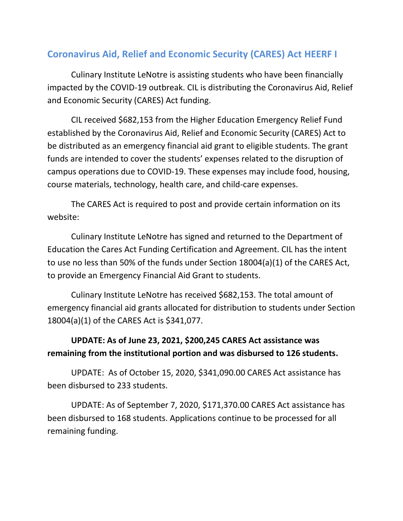## **Coronavirus Aid, Relief and Economic Security (CARES) Act HEERF I**

Culinary Institute LeNotre is assisting students who have been financially impacted by the COVID-19 outbreak. CIL is distributing the Coronavirus Aid, Relief and Economic Security (CARES) Act funding.

CIL received \$682,153 from the Higher Education Emergency Relief Fund established by the Coronavirus Aid, Relief and Economic Security (CARES) Act to be distributed as an emergency financial aid grant to eligible students. The grant funds are intended to cover the students' expenses related to the disruption of campus operations due to COVID-19. These expenses may include food, housing, course materials, technology, health care, and child-care expenses.

The CARES Act is required to post and provide certain information on its website:

Culinary Institute LeNotre has signed and returned to the Department of Education the Cares Act Funding Certification and Agreement. CIL has the intent to use no less than 50% of the funds under Section 18004(a)(1) of the CARES Act, to provide an Emergency Financial Aid Grant to students.

Culinary Institute LeNotre has received \$682,153. The total amount of emergency financial aid grants allocated for distribution to students under Section 18004(a)(1) of the CARES Act is \$341,077.

## **UPDATE: As of June 23, 2021, \$200,245 CARES Act assistance was remaining from the institutional portion and was disbursed to 126 students.**

UPDATE: As of October 15, 2020, \$341,090.00 CARES Act assistance has been disbursed to 233 students.

UPDATE: As of September 7, 2020, \$171,370.00 CARES Act assistance has been disbursed to 168 students. Applications continue to be processed for all remaining funding.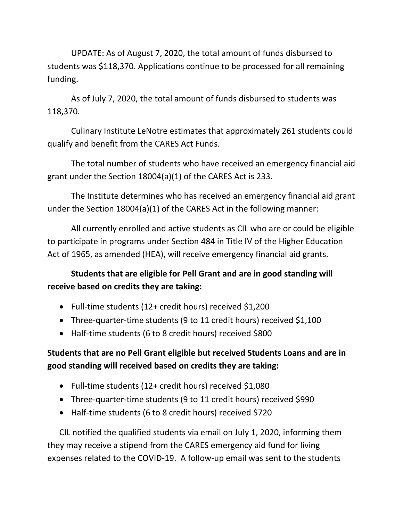UPDATE: As of August 7, 2020, the total amount of funds disbursed to students was \$118,370. Applications continue to be processed for all remaining funding.

As of July 7, 2020, the total amount of funds disbursed to students was 118,370.

Culinary Institute LeNotre estimates that approximately 261 students could qualify and benefit from the CARES Act Funds.

The total number of students who have received an emergency financial aid grant under the Section 18004(a)(1) of the CARES Act is 233.

The Institute determines who has received an emergency financial aid grant under the Section 18004(a)(1) of the CARES Act in the following manner:

All currently enrolled and active students as CIL who are or could be eligible to participate in programs under Section 484 in Title IV of the Higher Education Act of 1965, as amended (HEA), will receive emergency financial aid grants.

## **Students that are eligible for Pell Grant and are in good standing will receive based on credits they are taking:**

- Full-time students (12+ credit hours) received \$1,200
- Three-quarter-time students (9 to 11 credit hours) received \$1,100
- Half-time students (6 to 8 credit hours) received \$800

## **Students that are no Pell Grant eligible but received Students Loans and are in good standing will received based on credits they are taking:**

- Full-time students (12+ credit hours) received \$1,080
- Three-quarter-time students (9 to 11 credit hours) received \$990
- Half-time students (6 to 8 credit hours) received \$720

CIL notified the qualified students via email on July 1, 2020, informing them they may receive a stipend from the CARES emergency aid fund for living expenses related to the COVID-19. A follow-up email was sent to the students